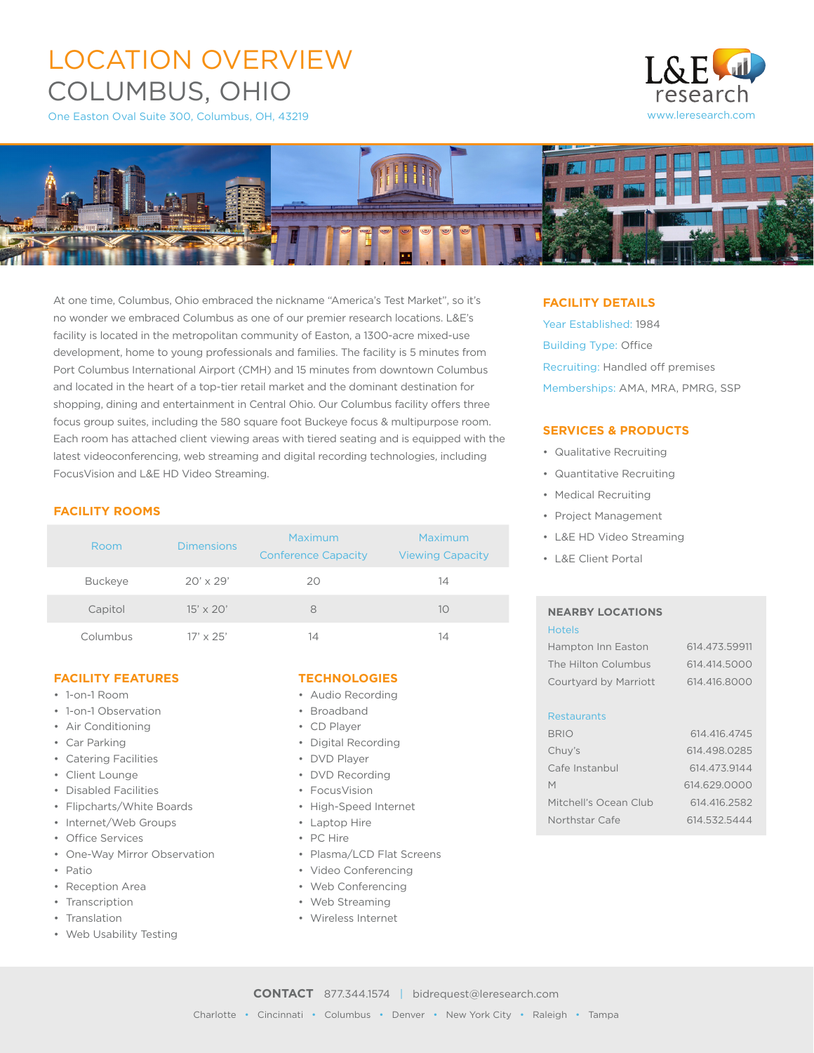# LOCATION OVERVIEW COLUMBUS, OHIO

One Easton Oval Suite 300, Columbus, OH, 43219





At one time, Columbus, Ohio embraced the nickname "America's Test Market", so it's no wonder we embraced Columbus as one of our premier research locations. L&E's facility is located in the metropolitan community of Easton, a 1300-acre mixed-use development, home to young professionals and families. The facility is 5 minutes from Port Columbus International Airport (CMH) and 15 minutes from downtown Columbus and located in the heart of a top-tier retail market and the dominant destination for shopping, dining and entertainment in Central Ohio. Our Columbus facility offers three focus group suites, including the 580 square foot Buckeye focus & multipurpose room. Each room has attached client viewing areas with tiered seating and is equipped with the latest videoconferencing, web streaming and digital recording technologies, including FocusVision and L&E HD Video Streaming.

## **FACILITY ROOMS**

| Room           | <b>Dimensions</b> | Maximum<br><b>Conference Capacity</b> | Maximum<br><b>Viewing Capacity</b> |
|----------------|-------------------|---------------------------------------|------------------------------------|
| <b>Buckeye</b> | $20' \times 29'$  | 20                                    | 14                                 |
| Capitol        | $15' \times 20'$  | 8                                     | 10                                 |
| Columbus       | $17' \times 25'$  | 14                                    | 14                                 |

## **FACILITY FEATURES**

- 1-on-1 Room
- 1-on-1 Observation
- Air Conditioning
- Car Parking
- Catering Facilities
- Client Lounge
- Disabled Facilities
- Flipcharts/White Boards
- Internet/Web Groups
- Office Services
- One-Way Mirror Observation
- Patio
- Reception Area
- Transcription
- Translation
- Web Usability Testing

#### **TECHNOLOGIES**

- Audio Recording
- Broadband
- CD Player
- Digital Recording
- DVD Player
- DVD Recording
- FocusVision
- High-Speed Internet
- Laptop Hire
- PC Hire
- Plasma/LCD Flat Screens
- Video Conferencing
- Web Conferencing
- Web Streaming
- Wireless Internet

### **FACILITY DETAILS**

Year Established: 1984 Building Type: Office Recruiting: Handled off premises Memberships: AMA, MRA, PMRG, SSP

## **SERVICES & PRODUCTS**

- Qualitative Recruiting
- Quantitative Recruiting
- Medical Recruiting
- Project Management
- L&E HD Video Streaming
- L&E Client Portal

#### **NEARBY LOCATIONS** Hotels

| Hampton Inn Easton    | 614.473.59911 |
|-----------------------|---------------|
| The Hilton Columbus   | 614.414.5000  |
| Courtyard by Marriott | 614.416.8000  |
| <b>Restaurants</b>    |               |
|                       |               |

| <b>BRIO</b>           | 614.416.4745 |
|-----------------------|--------------|
| Chuy's                | 614.498.0285 |
| Cafe Instanbul        | 614.473.9144 |
| М                     | 614.629.0000 |
| Mitchell's Ocean Club | 614.416.2582 |
| Northstar Cafe        | 614.532.5444 |